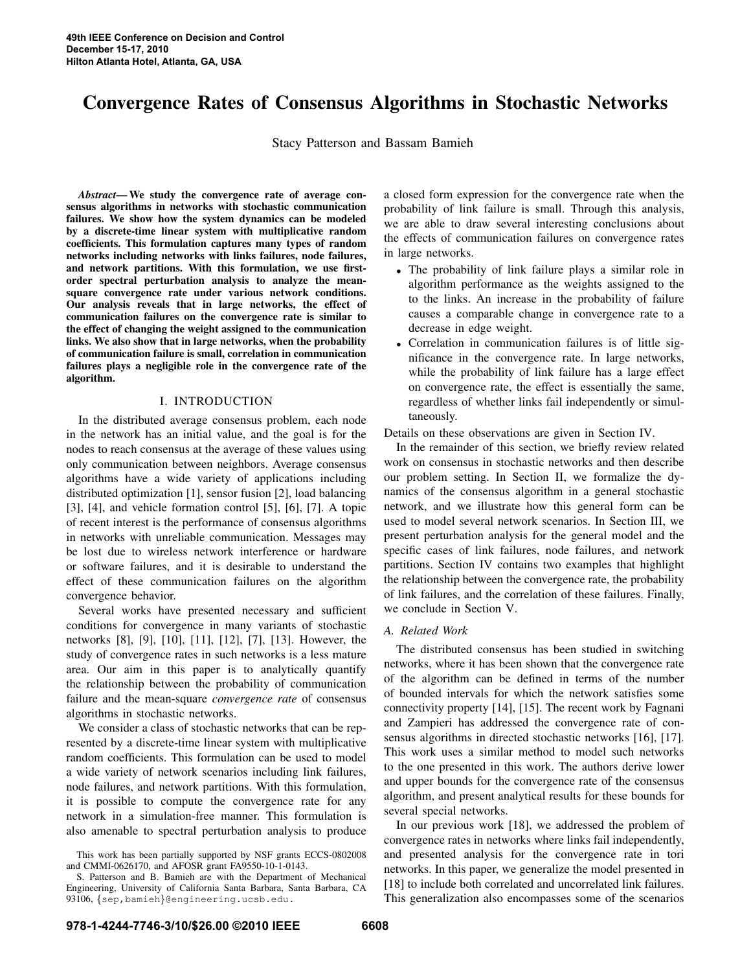# Convergence Rates of Consensus Algorithms in Stochastic Networks

Stacy Patterson and Bassam Bamieh

*Abstract*— We study the convergence rate of average consensus algorithms in networks with stochastic communication failures. We show how the system dynamics can be modeled by a discrete-time linear system with multiplicative random coefficients. This formulation captures many types of random networks including networks with links failures, node failures, and network partitions. With this formulation, we use firstorder spectral perturbation analysis to analyze the meansquare convergence rate under various network conditions. Our analysis reveals that in large networks, the effect of communication failures on the convergence rate is similar to the effect of changing the weight assigned to the communication links. We also show that in large networks, when the probability of communication failure is small, correlation in communication failures plays a negligible role in the convergence rate of the algorithm.

### I. INTRODUCTION

In the distributed average consensus problem, each node in the network has an initial value, and the goal is for the nodes to reach consensus at the average of these values using only communication between neighbors. Average consensus algorithms have a wide variety of applications including distributed optimization [1], sensor fusion [2], load balancing [3], [4], and vehicle formation control [5], [6], [7]. A topic of recent interest is the performance of consensus algorithms in networks with unreliable communication. Messages may be lost due to wireless network interference or hardware or software failures, and it is desirable to understand the effect of these communication failures on the algorithm convergence behavior.

Several works have presented necessary and sufficient conditions for convergence in many variants of stochastic networks [8], [9], [10], [11], [12], [7], [13]. However, the study of convergence rates in such networks is a less mature area. Our aim in this paper is to analytically quantify the relationship between the probability of communication failure and the mean-square *convergence rate* of consensus algorithms in stochastic networks.

We consider a class of stochastic networks that can be represented by a discrete-time linear system with multiplicative random coefficients. This formulation can be used to model a wide variety of network scenarios including link failures, node failures, and network partitions. With this formulation, it is possible to compute the convergence rate for any network in a simulation-free manner. This formulation is also amenable to spectral perturbation analysis to produce a closed form expression for the convergence rate when the probability of link failure is small. Through this analysis, we are able to draw several interesting conclusions about the effects of communication failures on convergence rates in large networks.

- The probability of link failure plays a similar role in algorithm performance as the weights assigned to the to the links. An increase in the probability of failure causes a comparable change in convergence rate to a decrease in edge weight.
- Correlation in communication failures is of little significance in the convergence rate. In large networks, while the probability of link failure has a large effect on convergence rate, the effect is essentially the same, regardless of whether links fail independently or simultaneously.

Details on these observations are given in Section IV.

In the remainder of this section, we briefly review related work on consensus in stochastic networks and then describe our problem setting. In Section II, we formalize the dynamics of the consensus algorithm in a general stochastic network, and we illustrate how this general form can be used to model several network scenarios. In Section III, we present perturbation analysis for the general model and the specific cases of link failures, node failures, and network partitions. Section IV contains two examples that highlight the relationship between the convergence rate, the probability of link failures, and the correlation of these failures. Finally, we conclude in Section V.

## *A. Related Work*

The distributed consensus has been studied in switching networks, where it has been shown that the convergence rate of the algorithm can be defined in terms of the number of bounded intervals for which the network satisfies some connectivity property [14], [15]. The recent work by Fagnani and Zampieri has addressed the convergence rate of consensus algorithms in directed stochastic networks [16], [17]. This work uses a similar method to model such networks to the one presented in this work. The authors derive lower and upper bounds for the convergence rate of the consensus algorithm, and present analytical results for these bounds for several special networks.

In our previous work [18], we addressed the problem of convergence rates in networks where links fail independently, and presented analysis for the convergence rate in tori networks. In this paper, we generalize the model presented in [18] to include both correlated and uncorrelated link failures. This generalization also encompasses some of the scenarios

This work has been partially supported by NSF grants ECCS-0802008 and CMMI-0626170, and AFOSR grant FA9550-10-1-0143.

S. Patterson and B. Bamieh are with the Department of Mechanical Engineering, University of California Santa Barbara, Santa Barbara, CA 93106, {sep,bamieh}@engineering.ucsb.edu.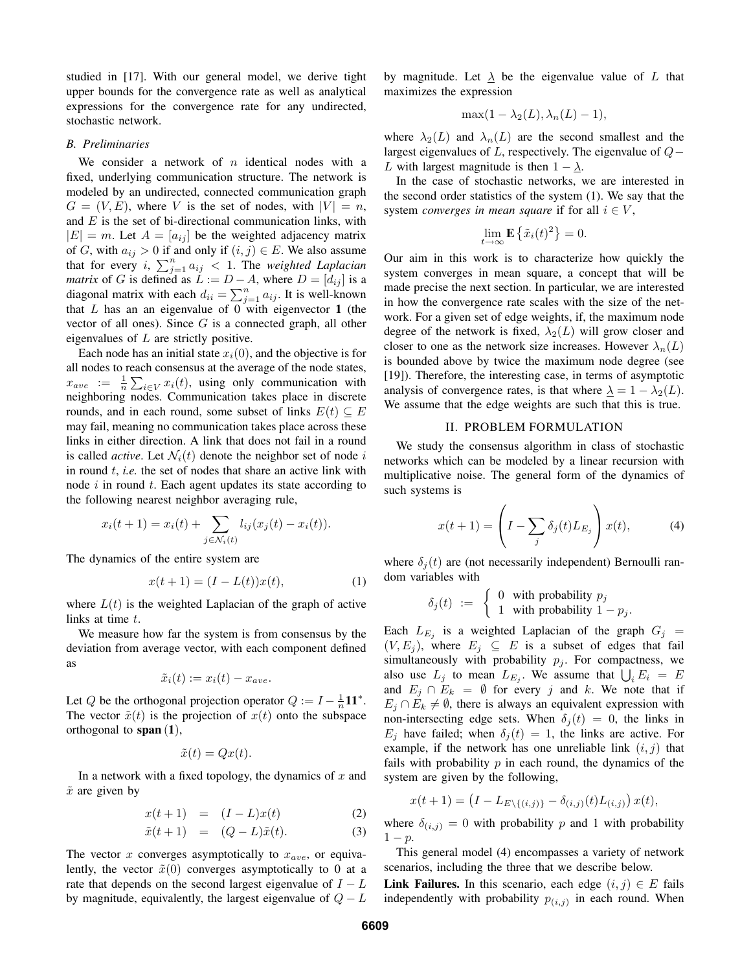studied in [17]. With our general model, we derive tight upper bounds for the convergence rate as well as analytical expressions for the convergence rate for any undirected, stochastic network.

#### *B. Preliminaries*

We consider a network of  $n$  identical nodes with a fixed, underlying communication structure. The network is modeled by an undirected, connected communication graph  $G = (V, E)$ , where V is the set of nodes, with  $|V| = n$ , and  $E$  is the set of bi-directional communication links, with  $|E| = m$ . Let  $A = [a_{ij}]$  be the weighted adjacency matrix of G, with  $a_{ij} > 0$  if and only if  $(i, j) \in E$ . We also assume that for every i,  $\sum_{j=1}^{n} a_{ij} < 1$ . The *weighted Laplacian matrix* of G is defined as  $L := D - A$ , where  $D = [d_{ij}]$  is a diagonal matrix with each  $d_{ii} = \sum_{j=1}^{n} a_{ij}$ . It is well-known that  $L$  has an an eigenvalue of  $0$  with eigenvector 1 (the vector of all ones). Since  $G$  is a connected graph, all other eigenvalues of L are strictly positive.

Each node has an initial state  $x_i(0)$ , and the objective is for all nodes to reach consensus at the average of the node states,  $x_{ave} := \frac{1}{n} \sum_{i \in V} x_i(t)$ , using only communication with neighboring nodes. Communication takes place in discrete rounds, and in each round, some subset of links  $E(t) \subseteq E$ may fail, meaning no communication takes place across these links in either direction. A link that does not fail in a round is called *active*. Let  $\mathcal{N}_i(t)$  denote the neighbor set of node i in round t, *i.e.* the set of nodes that share an active link with node  $i$  in round  $t$ . Each agent updates its state according to the following nearest neighbor averaging rule,

$$
x_i(t + 1) = x_i(t) + \sum_{j \in \mathcal{N}_i(t)} l_{ij}(x_j(t) - x_i(t)).
$$

The dynamics of the entire system are

$$
x(t+1) = (I - L(t))x(t),
$$
 (1)

where  $L(t)$  is the weighted Laplacian of the graph of active links at time t.

We measure how far the system is from consensus by the deviation from average vector, with each component defined as

$$
\tilde{x}_i(t) := x_i(t) - x_{ave}.
$$

Let Q be the orthogonal projection operator  $Q := I - \frac{1}{n} \mathbf{1} \mathbf{1}^*$ . The vector  $\tilde{x}(t)$  is the projection of  $x(t)$  onto the subspace orthogonal to  $\text{span}(1)$ ,

$$
\tilde{x}(t) = Qx(t).
$$

In a network with a fixed topology, the dynamics of  $x$  and  $\tilde{x}$  are given by

$$
x(t+1) = (I-L)x(t) \tag{2}
$$

$$
\tilde{x}(t+1) = (Q-L)\tilde{x}(t). \tag{3}
$$

The vector  $x$  converges asymptotically to  $x_{ave}$ , or equivalently, the vector  $\tilde{x}(0)$  converges asymptotically to 0 at a rate that depends on the second largest eigenvalue of  $I - L$ by magnitude, equivalently, the largest eigenvalue of  $Q - L$  by magnitude. Let  $\lambda$  be the eigenvalue value of L that maximizes the expression

$$
\max(1 - \lambda_2(L), \lambda_n(L) - 1),
$$

where  $\lambda_2(L)$  and  $\lambda_n(L)$  are the second smallest and the largest eigenvalues of L, respectively. The eigenvalue of  $Q-$ L with largest magnitude is then  $1 - \lambda$ .

In the case of stochastic networks, we are interested in the second order statistics of the system (1). We say that the system *converges in mean square* if for all  $i \in V$ ,

$$
\lim_{t \to \infty} \mathbf{E} \left\{ \tilde{x}_i(t)^2 \right\} = 0.
$$

Our aim in this work is to characterize how quickly the system converges in mean square, a concept that will be made precise the next section. In particular, we are interested in how the convergence rate scales with the size of the network. For a given set of edge weights, if, the maximum node degree of the network is fixed,  $\lambda_2(L)$  will grow closer and closer to one as the network size increases. However  $\lambda_n(L)$ is bounded above by twice the maximum node degree (see [19]). Therefore, the interesting case, in terms of asymptotic analysis of convergence rates, is that where  $\Delta = 1 - \lambda_2(L)$ . We assume that the edge weights are such that this is true.

## II. PROBLEM FORMULATION

We study the consensus algorithm in class of stochastic networks which can be modeled by a linear recursion with multiplicative noise. The general form of the dynamics of such systems is

$$
x(t+1) = \left(I - \sum_{j} \delta_j(t) L_{E_j}\right) x(t), \tag{4}
$$

where  $\delta_i(t)$  are (not necessarily independent) Bernoulli random variables with

$$
\delta_j(t) := \begin{cases} 0 & \text{with probability } p_j \\ 1 & \text{with probability } 1 - p_j. \end{cases}
$$

Each  $L_{E_j}$  is a weighted Laplacian of the graph  $G_j =$  $(V, E_j)$ , where  $E_j \subseteq E$  is a subset of edges that fail simultaneously with probability  $p_i$ . For compactness, we also use  $L_j$  to mean  $L_{E_j}$ . We assume that  $\bigcup_i E_i = E$ and  $E_j \cap E_k = \emptyset$  for every j and k. We note that if  $E_i \cap E_k \neq \emptyset$ , there is always an equivalent expression with non-intersecting edge sets. When  $\delta_i(t) = 0$ , the links in  $E_j$  have failed; when  $\delta_j(t) = 1$ , the links are active. For example, if the network has one unreliable link  $(i, j)$  that fails with probability  $p$  in each round, the dynamics of the system are given by the following,

$$
x(t+1) = (I - L_{E \setminus \{(i,j)\}} - \delta_{(i,j)}(t)L_{(i,j)}) x(t),
$$

where  $\delta_{(i,j)} = 0$  with probability p and 1 with probability  $1 - p$ .

This general model (4) encompasses a variety of network scenarios, including the three that we describe below.

**Link Failures.** In this scenario, each edge  $(i, j) \in E$  fails independently with probability  $p_{(i,j)}$  in each round. When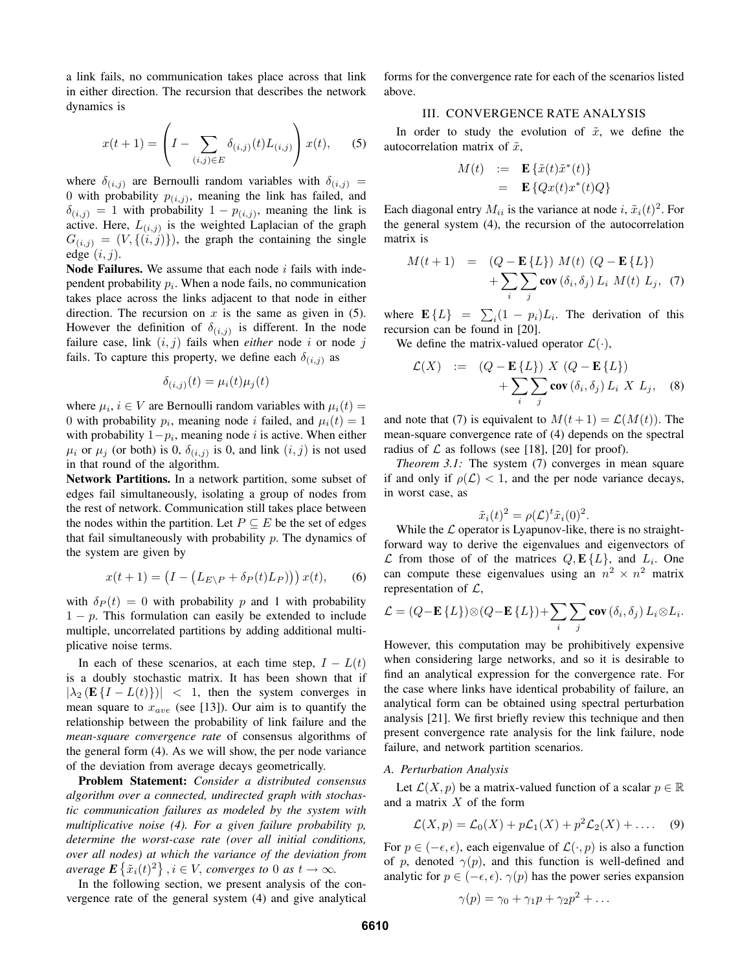a link fails, no communication takes place across that link in either direction. The recursion that describes the network dynamics is

$$
x(t+1) = \left(I - \sum_{(i,j)\in E} \delta_{(i,j)}(t) L_{(i,j)}\right) x(t), \quad (5)
$$

where  $\delta_{(i,j)}$  are Bernoulli random variables with  $\delta_{(i,j)} =$ 0 with probability  $p_{(i,j)}$ , meaning the link has failed, and  $\delta(i,j) = 1$  with probability  $1 - p(i,j)$ , meaning the link is active. Here,  $L_{(i,j)}$  is the weighted Laplacian of the graph  $G(i,j) = (V, \{(i,j)\})$ , the graph the containing the single edge  $(i, j)$ .

Node Failures. We assume that each node  $i$  fails with independent probability  $p_i$ . When a node fails, no communication takes place across the links adjacent to that node in either direction. The recursion on  $x$  is the same as given in (5). However the definition of  $\delta_{(i,j)}$  is different. In the node failure case, link  $(i, j)$  fails when *either* node i or node j fails. To capture this property, we define each  $\delta_{(i,j)}$  as

$$
\delta_{(i,j)}(t) = \mu_i(t)\mu_j(t)
$$

where  $\mu_i$ ,  $i \in V$  are Bernoulli random variables with  $\mu_i(t) =$ 0 with probability  $p_i$ , meaning node *i* failed, and  $\mu_i(t) = 1$ with probability  $1-p_i$ , meaning node *i* is active. When either  $\mu_i$  or  $\mu_j$  (or both) is 0,  $\delta_{(i,j)}$  is 0, and link  $(i,j)$  is not used in that round of the algorithm.

Network Partitions. In a network partition, some subset of edges fail simultaneously, isolating a group of nodes from the rest of network. Communication still takes place between the nodes within the partition. Let  $P \subseteq E$  be the set of edges that fail simultaneously with probability  $p$ . The dynamics of the system are given by

$$
x(t+1) = \left(I - \left(L_{E\setminus P} + \delta_P(t)L_P\right)\right)x(t),\tag{6}
$$

with  $\delta_P(t) = 0$  with probability p and 1 with probability  $1 - p$ . This formulation can easily be extended to include multiple, uncorrelated partitions by adding additional multiplicative noise terms.

In each of these scenarios, at each time step,  $I - L(t)$ is a doubly stochastic matrix. It has been shown that if  $|\lambda_2 (E\{I - L(t)\})|$  < 1, then the system converges in mean square to  $x_{ave}$  (see [13]). Our aim is to quantify the relationship between the probability of link failure and the *mean-square convergence rate* of consensus algorithms of the general form (4). As we will show, the per node variance of the deviation from average decays geometrically.

Problem Statement: *Consider a distributed consensus algorithm over a connected, undirected graph with stochastic communication failures as modeled by the system with multiplicative noise (4). For a given failure probability* p*, determine the worst-case rate (over all initial conditions, over all nodes) at which the variance of the deviation from average*  $\mathbf{E} \left\{ \tilde{x}_i(t)^2 \right\}$ ,  $i \in V$ , *converges to* 0 *as*  $t \to \infty$ .

In the following section, we present analysis of the convergence rate of the general system (4) and give analytical forms for the convergence rate for each of the scenarios listed above.

## III. CONVERGENCE RATE ANALYSIS

In order to study the evolution of  $\tilde{x}$ , we define the autocorrelation matrix of  $\tilde{x}$ ,

$$
M(t) := \mathbf{E} \left\{ \tilde{x}(t)\tilde{x}^*(t) \right\}
$$
  
= 
$$
\mathbf{E} \left\{ Qx(t)x^*(t)Q \right\}
$$

Each diagonal entry  $M_{ii}$  is the variance at node i,  $\tilde{x}_i(t)^2$ . For the general system (4), the recursion of the autocorrelation matrix is

$$
M(t+1) = (Q - \mathbf{E} \{L\}) M(t) (Q - \mathbf{E} \{L\})
$$
  
+ 
$$
\sum_{i} \sum_{j} \mathbf{cov} (\delta_i, \delta_j) L_i M(t) L_j, (7)
$$

where  $\mathbf{E}\{L\} = \sum_i (1 - p_i)L_i$ . The derivation of this recursion can be found in [20].

We define the matrix-valued operator  $\mathcal{L}(\cdot)$ ,

$$
\mathcal{L}(X) := (Q - \mathbf{E}\{L\}) X (Q - \mathbf{E}\{L\})
$$

$$
+ \sum_{i} \sum_{j} \mathbf{cov} (\delta_i, \delta_j) L_i X L_j, \quad (8)
$$

and note that (7) is equivalent to  $M(t+1) = \mathcal{L}(M(t))$ . The mean-square convergence rate of (4) depends on the spectral radius of  $\mathcal L$  as follows (see [18], [20] for proof).

*Theorem 3.1:* The system (7) converges in mean square if and only if  $\rho(\mathcal{L}) < 1$ , and the per node variance decays, in worst case, as

$$
\tilde{x}_i(t)^2 = \rho(\mathcal{L})^t \tilde{x}_i(0)^2.
$$

While the  $\mathcal L$  operator is Lyapunov-like, there is no straightforward way to derive the eigenvalues and eigenvectors of  $\mathcal L$  from those of of the matrices  $Q, E\{L\}$ , and  $L_i$ . One can compute these eigenvalues using an  $n^2 \times n^2$  matrix representation of  $\mathcal{L}$ ,

$$
\mathcal{L} = (Q - \mathbf{E} \{ L \}) \otimes (Q - \mathbf{E} \{ L \}) + \sum_{i} \sum_{j} \mathbf{cov} \left( \delta_{i}, \delta_{j} \right) L_{i} \otimes L_{i}.
$$

However, this computation may be prohibitively expensive when considering large networks, and so it is desirable to find an analytical expression for the convergence rate. For the case where links have identical probability of failure, an analytical form can be obtained using spectral perturbation analysis [21]. We first briefly review this technique and then present convergence rate analysis for the link failure, node failure, and network partition scenarios.

#### *A. Perturbation Analysis*

Let  $\mathcal{L}(X, p)$  be a matrix-valued function of a scalar  $p \in \mathbb{R}$ and a matrix X of the form

$$
\mathcal{L}(X,p) = \mathcal{L}_0(X) + p\mathcal{L}_1(X) + p^2\mathcal{L}_2(X) + \dots
$$
 (9)

For  $p \in (-\epsilon, \epsilon)$ , each eigenvalue of  $\mathcal{L}(\cdot, p)$  is also a function of p, denoted  $\gamma(p)$ , and this function is well-defined and analytic for  $p \in (-\epsilon, \epsilon)$ .  $\gamma(p)$  has the power series expansion

$$
\gamma(p) = \gamma_0 + \gamma_1 p + \gamma_2 p^2 + \dots
$$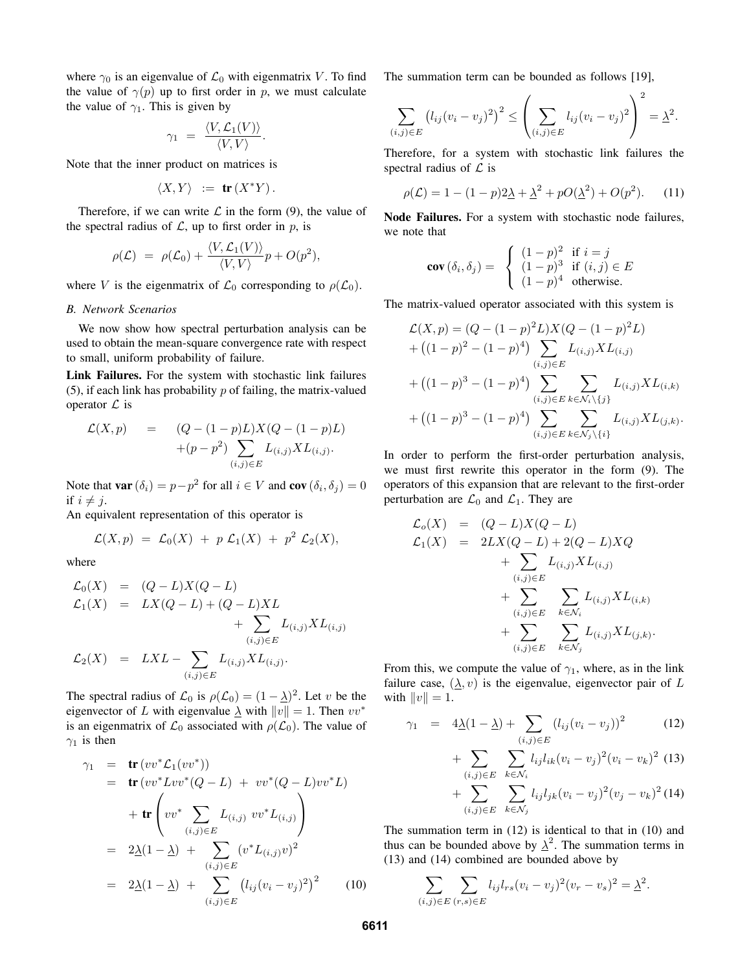where  $\gamma_0$  is an eigenvalue of  $\mathcal{L}_0$  with eigenmatrix V. To find the value of  $\gamma(p)$  up to first order in p, we must calculate the value of  $\gamma_1$ . This is given by

$$
\gamma_1 = \frac{\langle V, \mathcal{L}_1(V) \rangle}{\langle V, V \rangle}.
$$

Note that the inner product on matrices is

$$
\langle X, Y \rangle := \mathbf{tr}(X^*Y).
$$

Therefore, if we can write  $\mathcal L$  in the form (9), the value of the spectral radius of  $\mathcal{L}$ , up to first order in p, is

$$
\rho(\mathcal{L}) = \rho(\mathcal{L}_0) + \frac{\langle V, \mathcal{L}_1(V) \rangle}{\langle V, V \rangle} p + O(p^2),
$$

where V is the eigenmatrix of  $\mathcal{L}_0$  corresponding to  $\rho(\mathcal{L}_0)$ .

#### *B. Network Scenarios*

We now show how spectral perturbation analysis can be used to obtain the mean-square convergence rate with respect to small, uniform probability of failure.

Link Failures. For the system with stochastic link failures (5), if each link has probability  $p$  of failing, the matrix-valued operator  $\mathcal L$  is

$$
\mathcal{L}(X, p) = (Q - (1 - p)L)X(Q - (1 - p)L) \n+ (p - p2) \sum_{(i,j) \in E} L_{(i,j)} X L_{(i,j)}.
$$

Note that **var**  $(\delta_i) = p - p^2$  for all  $i \in V$  and **cov**  $(\delta_i, \delta_j) = 0$ if  $i \neq j$ .

An equivalent representation of this operator is

$$
\mathcal{L}(X,p) = \mathcal{L}_0(X) + p \mathcal{L}_1(X) + p^2 \mathcal{L}_2(X),
$$

where

$$
\mathcal{L}_0(X) = (Q - L)X(Q - L) \n\mathcal{L}_1(X) = LX(Q - L) + (Q - L)XL + \sum_{(i,j) \in E} L_{(i,j)}XL_{(i,j)} \n\mathcal{L}_2(X) = LXL - \sum_{(i,j) \in E} L_{(i,j)}XL_{(i,j)}.
$$

The spectral radius of  $\mathcal{L}_0$  is  $\rho(\mathcal{L}_0) = (1 - \underline{\lambda})^2$ . Let v be the eigenvector of L with eigenvalue  $\lambda$  with  $||v|| = 1$ . Then  $vv^*$ is an eigenmatrix of  $\mathcal{L}_0$  associated with  $\rho(\mathcal{L}_0)$ . The value of  $\gamma_1$  is then

$$
\gamma_1 = \mathbf{tr}(vv^* \mathcal{L}_1(vv^*))
$$
  
\n
$$
= \mathbf{tr}(vv^* \mathcal{L}vv^*(Q-L) + vv^*(Q-L)vv^*L)
$$
  
\n
$$
+ \mathbf{tr}\left(vv^* \sum_{(i,j) \in E} L_{(i,j)} vv^*L_{(i,j)}\right)
$$
  
\n
$$
= 2\underline{\lambda}(1-\underline{\lambda}) + \sum_{(i,j) \in E} (v^* L_{(i,j)}v)^2
$$
  
\n
$$
= 2\underline{\lambda}(1-\underline{\lambda}) + \sum_{(i,j) \in E} (l_{ij}(v_i - v_j)^2)^2
$$
(10)

The summation term can be bounded as follows [19],

$$
\sum_{(i,j)\in E} (l_{ij}(v_i - v_j)^2)^2 \le \left(\sum_{(i,j)\in E} l_{ij}(v_i - v_j)^2\right)^2 = \underline{\lambda}^2.
$$

Therefore, for a system with stochastic link failures the spectral radius of  $\mathcal L$  is

$$
\rho(\mathcal{L}) = 1 - (1 - p)2\underline{\lambda} + \underline{\lambda}^2 + pO(\underline{\lambda}^2) + O(p^2).
$$
 (11)

Node Failures. For a system with stochastic node failures, we note that

$$
\mathbf{cov}\left(\delta_{i}, \delta_{j}\right) = \begin{cases} (1-p)^{2} & \text{if } i = j \\ (1-p)^{3} & \text{if } (i, j) \in E \\ (1-p)^{4} & \text{otherwise.} \end{cases}
$$

The matrix-valued operator associated with this system is

$$
\mathcal{L}(X, p) = (Q - (1 - p)^2 L) X (Q - (1 - p)^2 L)
$$
  
+ 
$$
((1 - p)^2 - (1 - p)^4) \sum_{(i,j) \in E} L_{(i,j)} X L_{(i,j)}
$$
  
+ 
$$
((1 - p)^3 - (1 - p)^4) \sum_{(i,j) \in E} \sum_{k \in \mathcal{N}_i \setminus \{j\}} L_{(i,j)} X L_{(i,k)}
$$
  
+ 
$$
((1 - p)^3 - (1 - p)^4) \sum_{(i,j) \in E} \sum_{k \in \mathcal{N}_j \setminus \{i\}} L_{(i,j)} X L_{(j,k)}.
$$

In order to perform the first-order perturbation analysis, we must first rewrite this operator in the form (9). The operators of this expansion that are relevant to the first-order perturbation are  $\mathcal{L}_0$  and  $\mathcal{L}_1$ . They are

$$
\mathcal{L}_o(X) = (Q - L)X(Q - L) \n\mathcal{L}_1(X) = 2LX(Q - L) + 2(Q - L)XQ \n+ \sum_{(i,j) \in E} L_{(i,j)}XL_{(i,j)} \n+ \sum_{(i,j) \in E} \sum_{k \in \mathcal{N}_i} L_{(i,j)}XL_{(i,k)} \n+ \sum_{(i,j) \in E} \sum_{k \in \mathcal{N}_j} L_{(i,j)}XL_{(j,k)}.
$$

From this, we compute the value of  $\gamma_1$ , where, as in the link failure case,  $(\lambda, v)$  is the eigenvalue, eigenvector pair of L with  $||v|| = 1$ .

$$
\gamma_1 = 4\underline{\lambda}(1-\underline{\lambda}) + \sum_{(i,j)\in E} (l_{ij}(v_i - v_j))^2
$$
 (12)

+ 
$$
\sum_{(i,j)\in E} \sum_{k\in\mathcal{N}_i} l_{ij}l_{ik}(v_i - v_j)^2 (v_i - v_k)^2
$$
 (13)  
+ 
$$
\sum_{(i,j)\in E} \sum_{k\in\mathcal{N}_j} l_{ij}l_{jk}(v_i - v_j)^2 (v_j - v_k)^2
$$
 (14)

The summation term in (12) is identical to that in (10) and thus can be bounded above by  $\lambda^2$ . The summation terms in (13) and (14) combined are bounded above by

$$
\sum_{(i,j)\in E} \sum_{(r,s)\in E} l_{ij} l_{rs} (v_i - v_j)^2 (v_r - v_s)^2 = \underline{\lambda}^2.
$$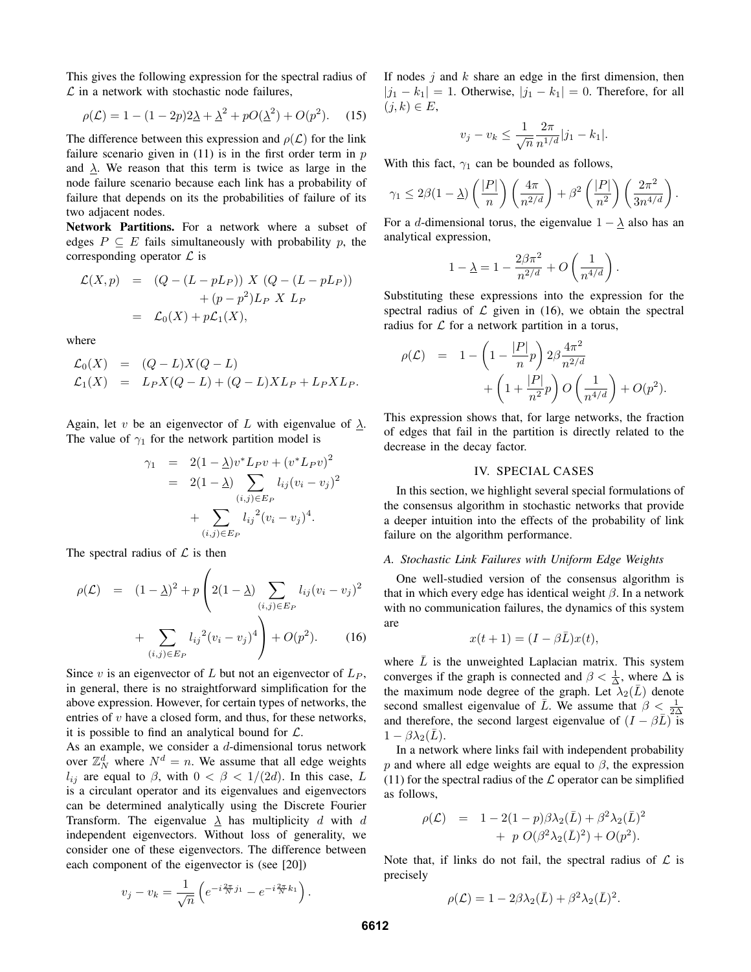This gives the following expression for the spectral radius of  $\mathcal L$  in a network with stochastic node failures,

$$
\rho(\mathcal{L}) = 1 - (1 - 2p)2\underline{\lambda} + \underline{\lambda}^2 + pO(\underline{\lambda}^2) + O(p^2).
$$
 (15)

The difference between this expression and  $\rho(\mathcal{L})$  for the link failure scenario given in  $(11)$  is in the first order term in  $p$ and  $\lambda$ . We reason that this term is twice as large in the node failure scenario because each link has a probability of failure that depends on its the probabilities of failure of its two adjacent nodes.

Network Partitions. For a network where a subset of edges  $P \subseteq E$  fails simultaneously with probability p, the corresponding operator  $\mathcal L$  is

$$
\mathcal{L}(X,p) = (Q - (L - pL_P)) X (Q - (L - pL_P))
$$

$$
+ (p - p2) L_P X L_P
$$

$$
= \mathcal{L}_0(X) + p\mathcal{L}_1(X),
$$

where

$$
\mathcal{L}_0(X) = (Q - L)X(Q - L)
$$
  
\n
$$
\mathcal{L}_1(X) = L_P X(Q - L) + (Q - L)XL_P + L_P XL_P.
$$

Again, let v be an eigenvector of L with eigenvalue of  $\lambda$ . The value of  $\gamma_1$  for the network partition model is

$$
\gamma_1 = 2(1 - \underline{\lambda})v^*L_Pv + (v^*L_Pv)^2
$$
  
= 2(1 - \underline{\lambda}) \sum\_{(i,j) \in E\_P} l\_{ij}(v\_i - v\_j)^2  
+ \sum\_{(i,j) \in E\_P} l\_{ij}^2(v\_i - v\_j)^4.

The spectral radius of  $\mathcal L$  is then

$$
\rho(\mathcal{L}) = (1 - \underline{\lambda})^2 + p \left( 2(1 - \underline{\lambda}) \sum_{(i,j) \in E_P} l_{ij} (v_i - v_j)^2 + \sum_{(i,j) \in E_P} l_{ij}^2 (v_i - v_j)^4 \right) + O(p^2).
$$
 (16)

Since  $v$  is an eigenvector of  $L$  but not an eigenvector of  $L_P$ , in general, there is no straightforward simplification for the above expression. However, for certain types of networks, the entries of v have a closed form, and thus, for these networks, it is possible to find an analytical bound for  $\mathcal{L}$ .

As an example, we consider a  $d$ -dimensional torus network over  $\mathbb{Z}_N^d$  where  $N^d = n$ . We assume that all edge weights  $l_{ij}$  are equal to  $\beta$ , with  $0 < \beta < 1/(2d)$ . In this case, L is a circulant operator and its eigenvalues and eigenvectors can be determined analytically using the Discrete Fourier Transform. The eigenvalue  $\lambda$  has multiplicity d with d independent eigenvectors. Without loss of generality, we consider one of these eigenvectors. The difference between each component of the eigenvector is (see [20])

$$
v_j - v_k = \frac{1}{\sqrt{n}} \left( e^{-i\frac{2\pi}{N}j_1} - e^{-i\frac{2\pi}{N}k_1} \right).
$$

If nodes  $i$  and  $k$  share an edge in the first dimension, then  $|j_1 - k_1| = 1$ . Otherwise,  $|j_1 - k_1| = 0$ . Therefore, for all  $(j,k) \in E$ ,

$$
v_j - v_k \le \frac{1}{\sqrt{n}} \frac{2\pi}{n^{1/d}} |j_1 - k_1|.
$$

With this fact,  $\gamma_1$  can be bounded as follows,

$$
\gamma_1 \leq 2\beta(1-\underline{\lambda})\left(\frac{|P|}{n}\right)\left(\frac{4\pi}{n^{2/d}}\right) + \beta^2\left(\frac{|P|}{n^2}\right)\left(\frac{2\pi^2}{3n^{4/d}}\right).
$$

For a d-dimensional torus, the eigenvalue  $1 - \lambda$  also has an analytical expression,

$$
1 - \underline{\lambda} = 1 - \frac{2\beta\pi^2}{n^{2/d}} + O\left(\frac{1}{n^{4/d}}\right).
$$

Substituting these expressions into the expression for the spectral radius of  $\mathcal L$  given in (16), we obtain the spectral radius for  $\mathcal L$  for a network partition in a torus,

$$
\begin{array}{lcl} \rho(\mathcal{L}) & = & 1 - \left( 1 - \frac{|P|}{n} p \right) 2\beta \frac{4\pi^2}{n^{2/d}} \\ & & + \left( 1 + \frac{|P|}{n^2} p \right) O\left( \frac{1}{n^{4/d}} \right) + O(p^2). \end{array}
$$

This expression shows that, for large networks, the fraction of edges that fail in the partition is directly related to the decrease in the decay factor.

## IV. SPECIAL CASES

In this section, we highlight several special formulations of the consensus algorithm in stochastic networks that provide a deeper intuition into the effects of the probability of link failure on the algorithm performance.

#### *A. Stochastic Link Failures with Uniform Edge Weights*

One well-studied version of the consensus algorithm is that in which every edge has identical weight  $\beta$ . In a network with no communication failures, the dynamics of this system are

$$
x(t+1) = (I - \beta \bar{L})x(t),
$$

where  $L$  is the unweighted Laplacian matrix. This system converges if the graph is connected and  $\beta < \frac{1}{\Delta}$ , where  $\Delta$  is the maximum node degree of the graph. Let  $\lambda_2(\bar{L})$  denote second smallest eigenvalue of  $\bar{L}$ . We assume that  $\beta < \frac{1}{2\Delta}$ and therefore, the second largest eigenvalue of  $(I - \beta \bar{L})$  is  $1 - \beta \lambda_2(\bar{L}).$ 

In a network where links fail with independent probability p and where all edge weights are equal to  $\beta$ , the expression (11) for the spectral radius of the  $\mathcal L$  operator can be simplified as follows,

$$
\rho(\mathcal{L}) = 1 - 2(1 - p)\beta\lambda_2(\bar{L}) + \beta^2\lambda_2(\bar{L})^2 + p O(\beta^2\lambda_2(\bar{L})^2) + O(p^2).
$$

Note that, if links do not fail, the spectral radius of  $\mathcal L$  is precisely

$$
\rho(\mathcal{L}) = 1 - 2\beta \lambda_2(\bar{L}) + \beta^2 \lambda_2(\bar{L})^2.
$$